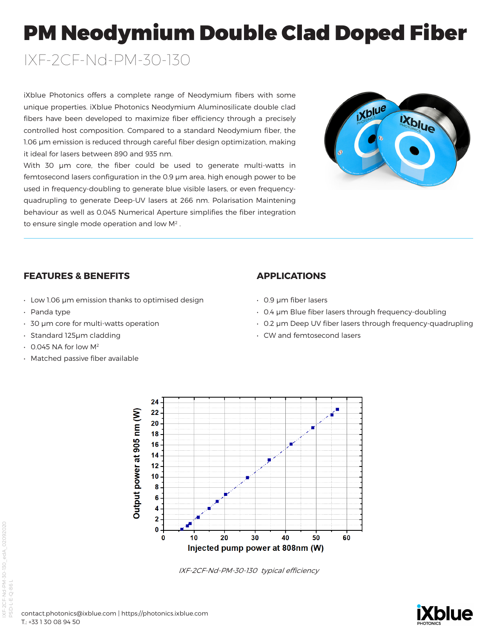# PM Neodymium Double Clad Doped Fiber

IXF-2CF-Nd-PM-30-130

iXblue Photonics offers a complete range of Neodymium fibers with some unique properties. iXblue Photonics Neodymium Aluminosilicate double clad fibers have been developed to maximize fiber efficiency through a precisely controlled host composition. Compared to a standard Neodymium fiber, the 1.06 µm emission is reduced through careful fiber design optimization, making it ideal for lasers between 890 and 935 nm.

With 30 µm core, the fiber could be used to generate multi-watts in femtosecond lasers configuration in the 0.9 µm area, high enough power to be used in frequency-doubling to generate blue visible lasers, or even frequencyquadrupling to generate Deep-UV lasers at 266 nm. Polarisation Maintening behaviour as well as 0.045 Numerical Aperture simplifies the fiber integration to ensure single mode operation and low M2 .



# **FEATURES & BENEFITS**

- Low 1.06 µm emission thanks to optimised design
- Panda type
- 30 µm core for multi-watts operation
- Standard 125µm cladding
- 0.045 NA for low M2
- Matched passive fiber available

# **APPLICATIONS**

- 0.9 µm fiber lasers
- 0.4 µm Blue fiber lasers through frequency-doubling
- 0.2 µm Deep UV fiber lasers through frequency-quadrupling
- CW and femtosecond lasers



IXF-2CF-Nd-PM-30-130 typical efficiency